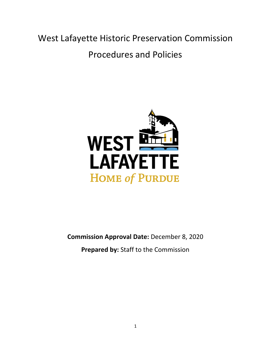West Lafayette Historic Preservation Commission Procedures and Policies



**Commission Approval Date:** December 8, 2020

**Prepared by:** Staff to the Commission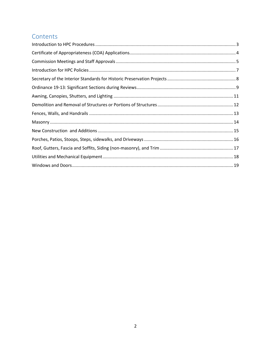## Contents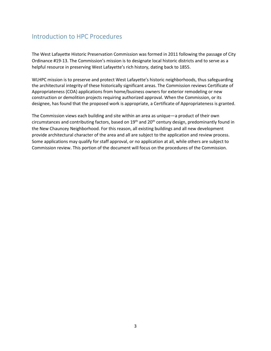## <span id="page-2-0"></span>Introduction to HPC Procedures

The West Lafayette Historic Preservation Commission was formed in 2011 following the passage of City Ordinance #19-13. The Commission's mission is to designate local historic districts and to serve as a helpful resource in preserving West Lafayette's rich history, dating back to 1855.

WLHPC mission is to preserve and protect West Lafayette's historic neighborhoods, thus safeguarding the architectural integrity of these historically significant areas. The Commission reviews Certificate of Appropriateness (COA) applications from home/business owners for exterior remodeling or new construction or demolition projects requiring authorized approval. When the Commission, or its designee, has found that the proposed work is appropriate, a Certificate of Appropriateness is granted.

The Commission views each building and site within an area as unique—a product of their own circumstances and contributing factors, based on 19<sup>th</sup> and 20<sup>th</sup> century design, predominantly found in the New Chauncey Neighborhood. For this reason, all existing buildings and all new development provide architectural character of the area and all are subject to the application and review process. Some applications may qualify for staff approval, or no application at all, while others are subject to Commission review. This portion of the document will focus on the procedures of the Commission.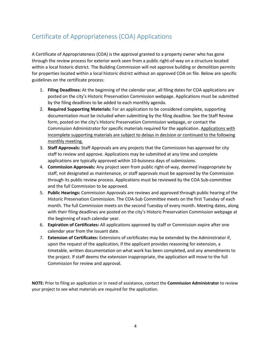# <span id="page-3-0"></span>Certificate of Appropriateness (COA) Applications

A Certificate of Appropriateness (COA) is the approval granted to a property owner who has gone through the review process for exterior work seen from a public right-of-way on a structure located within a local historic district. The Building Commission will not approve building or demolition permits for properties located within a local historic district without an approved COA on file. Below are specific guidelines on the certificate process:

- 1. **Filing Deadlines:** At the beginning of the calendar year, all filing dates for COA applications are posted on the city's Historic Preservation Commission webpage. Applications must be submitted by the filing deadlines to be added to each monthly agenda.
- 2. **Required Supporting Materials:** For an application to be considered complete, supporting documentation must be included when submitting by the filing deadline. See the Staff Review form, posted on the city's Historic Preservation Commission webpage, or contact the Commission Administrator for specific materials required for the application. Applications with incomplete supporting materials are subject to delays in decision or continued to the following monthly meeting.
- 3. **Staff Approvals:** Staff Approvals are any projects that the Commission has approved for city staff to review and approve. Applications may be submitted at any time and complete applications are typically approved within 10-buisness days of submissions.
- 4. **Commission Approvals:** Any project seen from public right-of-way, deemed inappropriate by staff, not designated as maintenance, or staff approvals must be approved by the Commission through its public review process. Applications must be reviewed by the COA Sub-committee and the full Commission to be approved.
- 5. **Public Hearings:** Commission Approvals are reviews and approved through public hearing of the Historic Preservation Commission. The COA-Sub Committee meets on the first Tuesday of each month. The full Commission meets on the second Tuesday of every month. Meeting dates, along with their filing deadlines are posted on the city's Historic Preservation Commission webpage at the beginning of each calendar year.
- 6. **Expiration of Certificates:** All applications approved by staff or Commission expire after one calendar year from the issuant date.
- 7. **Extension of Certificates:** Extensions of certificates may be extended by the Administrator if, upon the request of the application, if the applicant provides reasoning for extension, a timetable, written documentation on what work has been completed, and any amendments to the project. If staff deems the extension inappropriate, the application will move to the full Commission for review and approval.

**NOTE:** Prior to filing an application or in need of assistance, contact the **Commission Administrator** to review your project to see what materials are required for the application.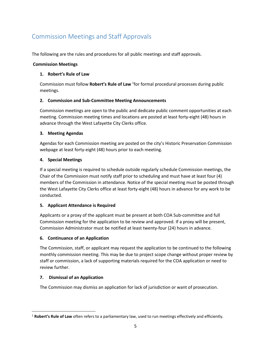# <span id="page-4-0"></span>Commission Meetings and Staff Approvals

The following are the rules and procedures for all public meetings and staff approvals.

### **Commission Meetings**

### **1. Robert's Rule of Law**

Commission must follow **Robert's Rule of Law** <sup>1</sup>for formal procedural processes during public meetings.

### **2. Commission and Sub-Committee Meeting Announcements**

Commission meetings are open to the public and dedicate public comment opportunities at each meeting. Commission meeting times and locations are posted at least forty-eight (48) hours in advance through the West Lafayette City Clerks office.

### **3. Meeting Agendas**

Agendas for each Commission meeting are posted on the city's Historic Preservation Commission webpage at least forty-eight (48) hours prior to each meeting.

### **4. Special Meetings**

If a special meeting is required to schedule outside regularly schedule Commission meetings, the Chair of the Commission must notify staff prior to scheduling and must have at least four (4) members of the Commission in attendance. Notice of the special meeting must be posted through the West Lafayette City Clerks office at least forty-eight (48) hours in advance for any work to be conducted.

### **5. Applicant Attendance is Required**

Applicants or a proxy of the applicant must be present at both COA Sub-committee and full Commission meeting for the application to be review and approved. If a proxy will be present, Commission Administrator must be notified at least twenty-four (24) hours in advance.

## **6. Continuance of an Application**

The Commission, staff, or applicant may request the application to be continued to the following monthly commission meeting. This may be due to project scope change without proper review by staff or commission, a lack of supporting materials required for the COA application or need to review further.

### **7. Dismissal of an Application**

 $\overline{\phantom{a}}$ 

The Commission may dismiss an application for lack of jurisdiction or want of prosecution.

<sup>1</sup> **Robert's Rule of Law** often refers to a parliamentary law, used to run meetings effectively and efficiently.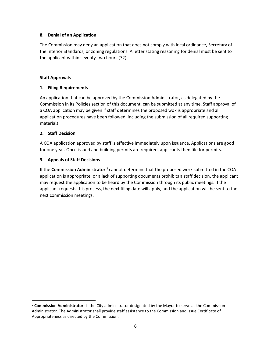#### **8. Denial of an Application**

The Commission may deny an application that does not comply with local ordinance, Secretary of the Interior Standards, or zoning regulations. A letter stating reasoning for denial must be sent to the applicant within seventy-two hours (72).

#### **Staff Approvals**

#### **1. Filing Requirements**

An application that can be approved by the Commission Administrator, as delegated by the Commission in its Policies section of this document, can be submitted at any time. Staff approval of a COA application may be given if staff determines the proposed wok is appropriate and all application procedures have been followed, including the submission of all required supporting materials.

#### **2. Staff Decision**

 $\overline{a}$ 

A COA application approved by staff is effective immediately upon issuance. Applications are good for one year. Once issued and building permits are required, applicants then file for permits.

#### **3. Appeals of Staff Decisions**

If the **Commission Administrator** <sup>2</sup> cannot determine that the proposed work submitted in the COA application is appropriate, or a lack of supporting documents prohibits a staff decision, the applicant may request the application to be heard by the Commission through its public meetings. If the applicant requests this process, the next filing date will apply, and the application will be sent to the next commission meetings.

<sup>2</sup> **Commission Administrator-** is the City administrator designated by the Mayor to serve as the Commission Administrator. The Administrator shall provide staff assistance to the Commission and issue Certificate of Appropriateness as directed by the Commission.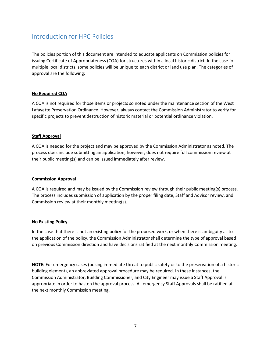## <span id="page-6-0"></span>Introduction for HPC Policies

The policies portion of this document are intended to educate applicants on Commission policies for issuing Certificate of Appropriateness (COA) for structures within a local historic district. In the case for multiple local districts, some policies will be unique to each district or land use plan. The categories of approval are the following:

### **No Required COA**

A COA is not required for those items or projects so noted under the maintenance section of the West Lafayette Preservation Ordinance. However, always contact the Commission Administrator to verify for specific projects to prevent destruction of historic material or potential ordinance violation.

#### **Staff Approval**

A COA is needed for the project and may be approved by the Commission Administrator as noted. The process does include submitting an application, however, does not require full commission review at their public meeting(s) and can be issued immediately after review.

#### **Commission Approval**

A COA is required and may be issued by the Commission review through their public meeting(s) process. The process includes submission of application by the proper filing date, Staff and Advisor review, and Commission review at their monthly meeting(s).

#### **No Existing Policy**

In the case that there is not an existing policy for the proposed work, or when there is ambiguity as to the application of the policy, the Commission Administrator shall determine the type of approval based on previous Commission direction and have decisions ratified at the next monthly Commission meeting.

**NOTE:** For emergency cases (posing immediate threat to public safety or to the preservation of a historic building element), an abbreviated approval procedure may be required. In these instances, the Commission Administrator, Building Commissioner, and City Engineer may issue a Staff Approval is appropriate in order to hasten the approval process. All emergency Staff Approvals shall be ratified at the next monthly Commission meeting.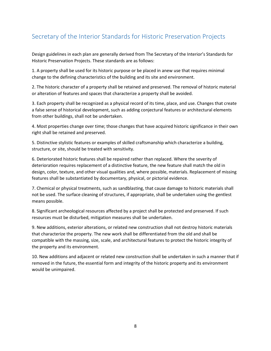# <span id="page-7-0"></span>Secretary of the Interior Standards for Historic Preservation Projects

Design guidelines in each plan are generally derived from The Secretary of the Interior's Standards for Historic Preservation Projects. These standards are as follows:

1. A property shall be used for its historic purpose or be placed in anew use that requires minimal change to the defining characteristics of the building and its site and environment.

2. The historic character of a property shall be retained and preserved. The removal of historic material or alteration of features and spaces that characterize a property shall be avoided.

3. Each property shall be recognized as a physical record of its time, place, and use. Changes that create a false sense of historical development, such as adding conjectural features or architectural elements from other buildings, shall not be undertaken.

4. Most properties change over time; those changes that have acquired historic significance in their own right shall be retained and preserved.

5. Distinctive stylistic features or examples of skilled craftsmanship which characterize a building, structure, or site, should be treated with sensitivity.

6. Deteriorated historic features shall be repaired rather than replaced. Where the severity of deterioration requires replacement of a distinctive feature, the new feature shall match the old in design, color, texture, and other visual qualities and, where possible, materials. Replacement of missing features shall be substantiated by documentary, physical, or pictorial evidence.

7. Chemical or physical treatments, such as sandblasting, that cause damage to historic materials shall not be used. The surface cleaning of structures, if appropriate, shall be undertaken using the gentlest means possible.

8. Significant archeological resources affected by a project shall be protected and preserved. If such resources must be disturbed, mitigation measures shall be undertaken.

9. New additions, exterior alterations, or related new construction shall not destroy historic materials that characterize the property. The new work shall be differentiated from the old and shall be compatible with the massing, size, scale, and architectural features to protect the historic integrity of the property and its environment.

10. New additions and adjacent or related new construction shall be undertaken in such a manner that if removed in the future, the essential form and integrity of the historic property and its environment would be unimpaired.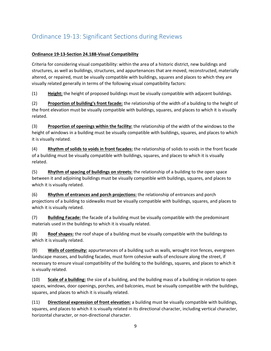# <span id="page-8-0"></span>Ordinance 19-13: Significant Sections during Reviews

## **Ordinance 19-13-Section 24.188-Visual Compatibility**

Criteria for considering visual compatibility: within the area of a historic district, new buildings and structures, as well as buildings, structures, and appurtenances that are moved, reconstructed, materially altered, or repaired, must be visually compatible with buildings, squares and places to which they are visually related generally in terms of the following visual compatibility factors:

(1) **Height:** the height of proposed buildings must be visually compatible with adjacent buildings.

(2) **Proportion of building's front facade:** the relationship of the width of a building to the height of the front elevation must be visually compatible with buildings, squares, and places to which it is visually related.

(3) **Proportion of openings within the facility:** the relationship of the width of the windows to the height of windows in a building must be visually compatible with buildings, squares, and places to which it is visually related.

(4) **Rhythm of solids to voids in front facades:** the relationship of solids to voids in the front facade of a building must be visually compatible with buildings, squares, and places to which it is visually related.

(5) **Rhythm of spacing of buildings on streets:** the relationship of a building to the open space between it and adjoining buildings must be visually compatible with buildings, squares, and places to which it is visually related.

(6) **Rhythm of entrances and porch projections:** the relationship of entrances and porch projections of a building to sidewalks must be visually compatible with buildings, squares, and places to which it is visually related.

(7) **Building Facade:** the facade of a building must be visually compatible with the predominant materials used in the buildings to which it is visually related.

(8) **Roof shapes:** the roof shape of a building must be visually compatible with the buildings to which it is visually related.

(9) **Walls of continuity:** appurtenances of a building such as walls, wrought iron fences, evergreen landscape masses, and building facades, must form cohesive walls of enclosure along the street, if necessary to ensure visual compatibility of the building to the buildings, squares, and places to which it is visually related.

(10) **Scale of a building:** the size of a building, and the building mass of a building in relation to open spaces, windows, door openings, porches, and balconies, must be visually compatible with the buildings, squares, and places to which it is visually related.

(11) **Directional expression of front elevation:** a building must be visually compatible with buildings, squares, and places to which it is visually related in its directional character, including vertical character, horizontal character, or non-directional character.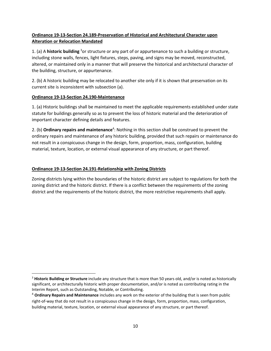## **Ordinance 19-13-Section 24.189-Preservation of Historical and Architectural Character upon Alteration or Relocation Mandated**

1. (a) A **historic building** <sup>3</sup>or structure or any part of or appurtenance to such a building or structure, including stone walls, fences, light fixtures, steps, paving, and signs may be moved, reconstructed, altered, or maintained only in a manner that will preserve the historical and architectural character of the building, structure, or appurtenance.

2. (b) A historic building may be relocated to another site only if it is shown that preservation on its current site is inconsistent with subsection (a).

### **Ordinance 19-13-Section 24.190-Maintenance**

 $\overline{a}$ 

1. (a) Historic buildings shall be maintained to meet the applicable requirements established under state statute for buildings generally so as to prevent the loss of historic material and the deterioration of important character defining details and features.

2. (b) **Ordinary repairs and maintenance**<sup>4</sup> : Nothing in this section shall be construed to prevent the ordinary repairs and maintenance of any historic building, provided that such repairs or maintenance do not result in a conspicuous change in the design, form, proportion, mass, configuration, building material, texture, location, or external visual appearance of any structure, or part thereof.

### **Ordinance 19-13-Section 24.191-Relationship with Zoning Districts**

Zoning districts lying within the boundaries of the historic district are subject to regulations for both the zoning district and the historic district. If there is a conflict between the requirements of the zoning district and the requirements of the historic district, the more restrictive requirements shall apply.

<sup>3</sup> **Historic Building or Structure** include any structure that is more than 50 years old, and/or is noted as historically significant, or architecturally historic with proper documentation, and/or is noted as contributing rating in the Interim Report, such as Outstanding, Notable, or Contributing.

<sup>4</sup> **Ordinary Repairs and Maintenance** includes any work on the exterior of the building that is seen from public right-of-way that do not result in a conspicuous change in the design, form, proportion, mass, configuration, building material, texture, location, or external visual appearance of any structure, or part thereof.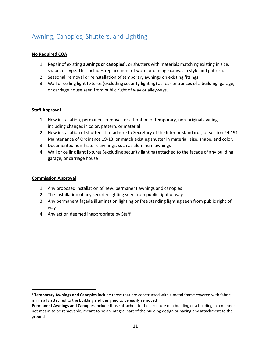# <span id="page-10-0"></span>Awning, Canopies, Shutters, and Lighting

### **No Required COA**

- 1. Repair of existing **awnings or canopies**<sup>5</sup> , or shutters with materials matching existing in size, shape, or type. This includes replacement of worn or damage canvas in style and pattern.
- 2. Seasonal, removal or reinstallation of temporary awnings on existing fittings.
- 3. Wall or ceiling light fixtures (excluding security lighting) at rear entrances of a building, garage, or carriage house seen from public right of way or alleyways.

### **Staff Approval**

- 1. New installation, permanent removal, or alteration of temporary, non-original awnings, including changes in color, pattern, or material
- 2. New installation of shutters that adhere to Secretary of the Interior standards, or section 24.191 Maintenance of Ordinance 19-13, or match existing shutter in material, size, shape, and color.
- 3. Documented non-historic awnings, such as aluminum awnings
- 4. Wall or ceiling light fixtures (excluding security lighting) attached to the façade of any building, garage, or carriage house

### **Commission Approval**

 $\overline{\phantom{a}}$ 

- 1. Any proposed installation of new, permanent awnings and canopies
- 2. The installation of any security lighting seen from public right of way
- 3. Any permanent façade illumination lighting or free standing lighting seen from public right of way
- 4. Any action deemed inappropriate by Staff

<sup>5</sup> **Temporary Awnings and Canopies** include those that are constructed with a metal frame covered with fabric, minimally attached to the building and designed to be easily removed

**Permanent Awnings and Canopies** include those attached to the structure of a building of a building in a manner not meant to be removable, meant to be an integral part of the building design or having any attachment to the ground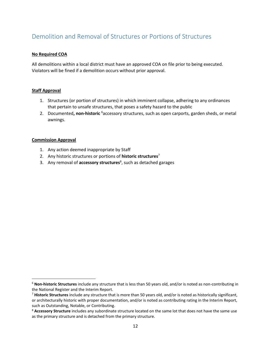## <span id="page-11-0"></span>Demolition and Removal of Structures or Portions of Structures

#### **No Required COA**

All demolitions within a local district must have an approved COA on file prior to being executed. Violators will be fined if a demolition occurs without prior approval.

#### **Staff Approval**

- 1. Structures (or portion of structures) in which imminent collapse, adhering to any ordinances that pertain to unsafe structures, that poses a safety hazard to the public
- 2. Documented**, non-historic** <sup>6</sup>accessory structures, such as open carports, garden sheds, or metal awnings.

#### **Commission Approval**

 $\overline{\phantom{a}}$ 

- 1. Any action deemed inappropriate by Staff
- 2. Any historic structures or portions of **historic structures**<sup>7</sup>
- 3. Any removal of **accessory structures**<sup>8</sup> , such as detached garages

<sup>6</sup> **Non-historic Structures** include any structure that is less than 50 years old, and/or is noted as non-contributing in the National Register and the Interim Report.

<sup>7</sup> **Historic Structures** include any structure that is more than 50 years old, and/or is noted as historically significant, or architecturally historic with proper documentation, and/or is noted as contributing rating in the Interim Report, such as Outstanding, Notable, or Contributing.

<sup>8</sup> **Accessory Structure** includes any subordinate structure located on the same lot that does not have the same use as the primary structure and is detached from the primary structure.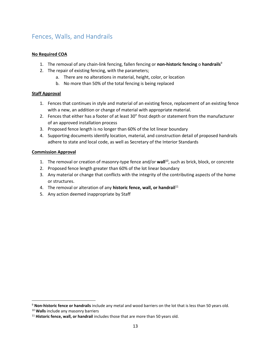## <span id="page-12-0"></span>Fences, Walls, and Handrails

### **No Required COA**

- 1. The removal of any chain-link fencing, fallen fencing or **non-historic fencing** o **handrails**<sup>9</sup>
- 2. The repair of existing fencing, with the parameters;
	- a. There are no alterations in material, height, color, or location
	- b. No more than 50% of the total fencing is being replaced

### **Staff Approval**

- 1. Fences that continues in style and material of an existing fence, replacement of an existing fence with a new, an addition or change of material with appropriate material.
- 2. Fences that either has a footer of at least 30" frost depth or statement from the manufacturer of an approved installation process
- 3. Proposed fence length is no longer than 60% of the lot linear boundary
- 4. Supporting documents identify location, material, and construction detail of proposed handrails adhere to state and local code, as well as Secretary of the Interior Standards

### **Commission Approval**

- 1. The removal or creation of masonry-type fence and/or **wall**<sup>10</sup>, such as brick, block, or concrete
- 2. Proposed fence length greater than 60% of the lot linear boundary
- 3. Any material or change that conflicts with the integrity of the contributing aspects of the home or structures.
- 4. The removal or alteration of any **historic fence, wall, or handrail**<sup>11</sup>
- 5. Any action deemed inappropriate by Staff

<sup>9</sup> **Non-historic fence or handrails** include any metal and wood barriers on the lot that is less than 50 years old.

<sup>10</sup> **Walls** include any masonry barriers

<sup>&</sup>lt;sup>11</sup> Historic fence, wall, or handrail includes those that are more than 50 years old.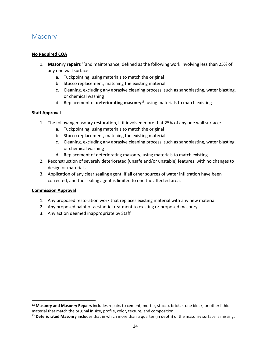## <span id="page-13-0"></span>**Masonry**

#### **No Required COA**

- 1. **Masonry repairs** <sup>12</sup>and maintenance, defined as the following work involving less than 25% of any one wall surface:
	- a. Tuckpointing, using materials to match the original
	- b. Stucco replacement, matching the existing material
	- c. Cleaning, excluding any abrasive cleaning process, such as sandblasting, water blasting, or chemical washing
	- d. Replacement of **deteriorating masonry**<sup>13</sup>, using materials to match existing

#### **Staff Approval**

- 1. The following masonry restoration, if it involved more that 25% of any one wall surface:
	- a. Tuckpointing, using materials to match the original
	- b. Stucco replacement, matching the existing material
	- c. Cleaning, excluding any abrasive cleaning process, such as sandblasting, water blasting, or chemical washing
	- d. Replacement of deteriorating masonry, using materials to match existing
- 2. Reconstruction of severely deteriorated (unsafe and/or unstable) features, with no changes to design or materials
- 3. Application of any clear sealing agent, if all other sources of water infiltration have been corrected, and the sealing agent is limited to one the affected area.

#### **Commission Approval**

- 1. Any proposed restoration work that replaces existing material with any new material
- 2. Any proposed paint or aesthetic treatment to existing or proposed masonry
- 3. Any action deemed inappropriate by Staff

<sup>12</sup> **Masonry and Masonry Repairs** includes repairs to cement, mortar, stucco, brick, stone block, or other lithic material that match the original in size, profile, color, texture, and composition.

<sup>13</sup> **Deteriorated Masonry** includes that in which more than a quarter (in depth) of the masonry surface is missing.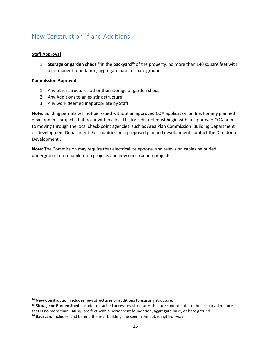# <span id="page-14-0"></span>New Construction <sup>14</sup> and Additions

### **Staff Approval**

l

1. **Storage or garden sheds** <sup>15</sup>in the **backyard**<sup>16</sup> of the property, no more than 140 square feet with a permanent foundation, aggregate base, or bare ground

#### **Commission Approval**

- 1. Any other structures other than storage or garden sheds
- 2. Any Additions to an existing structure
- 3. Any work deemed inappropriate by Staff

**Note:** Building permits will not be issued without an approved COA application on file. For any planned development projects that occur within a local historic district must begin with an approved COA prior to moving through the local check-point agencies, such as Area Plan Commission, Building Department, or Development Department. For inquiries on a proposed planned development, contact the Director of Development .

**Note:** The Commission may require that electrical, telephone, and television cables be buried underground on rehabilitation projects and new construction projects.

<sup>14</sup> **New Construction** includes new structures or additions to existing structure.

<sup>15</sup> **Storage or Garden Shed** includes detached accessory structures that are subordinate to the primary structure that is no more than 140 square feet with a permanent foundation, aggregate base, or bare ground.

<sup>16</sup> **Backyard** includes land behind the rear building line seen from public right-of-way.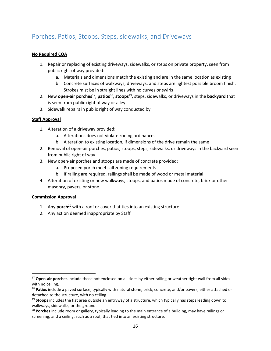## <span id="page-15-0"></span>Porches, Patios, Stoops, Steps, sidewalks, and Driveways

#### **No Required COA**

- 1. Repair or replacing of existing driveways, sidewalks, or steps on private property, seen from public right of way provided:
	- a. Materials and dimensions match the existing and are in the same location as existing
	- b. Concrete surfaces of walkways, driveways, and steps are lightest possible broom finish. Strokes mist be in straight lines with no curves or swirls
- 2. New **open-air porches**<sup>17</sup> , **patios**<sup>18</sup> , **stoops**<sup>19</sup>, steps, sidewalks, or driveways in the **backyard** that is seen from public right of way or alley
- 3. Sidewalk repairs in public right of way conducted by

### **Staff Approval**

- 1. Alteration of a driveway provided:
	- a. Alterations does not violate zoning ordinances
	- b. Alteration to existing location, if dimensions of the drive remain the same
- 2. Removal of open-air porches, patios, stoops, steps, sidewalks, or driveways in the backyard seen from public right of way
- 3. New open-air porches and stoops are made of concrete provided:
	- a. Proposed porch meets all zoning requirements
	- b. If railing are required, railings shall be made of wood or metal material
- 4. Alteration of existing or new walkways, stoops, and patios made of concrete, brick or other masonry, pavers, or stone.

#### **Commission Approval**

- 1. Any **porch**<sup>20</sup> with a roof or cover that ties into an existing structure
- 2. Any action deemed inappropriate by Staff

<sup>17</sup> **Open-air porches** include those not enclosed on all sides by either railing or weather tight wall from all sides with no ceiling.

<sup>18</sup> **Patios** include a paved surface, typically with natural stone, brick, concrete, and/or pavers, either attached or detached to the structure, with no ceiling.

<sup>19</sup> **Stoops** includes the flat area outside an entryway of a structure, which typically has steps leading down to walkways, sidewalks, or the ground.

<sup>20</sup> **Porches** include room or gallery, typically leading to the main entrance of a building, may have railings or screening, and a ceiling, such as a roof, that tied into an existing structure.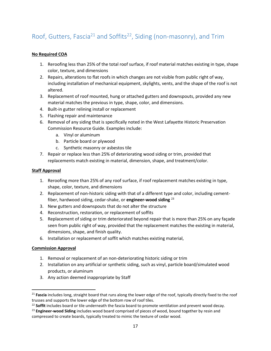# <span id="page-16-0"></span>Roof, Gutters, Fascia<sup>21</sup> and Soffits<sup>22</sup>, Siding (non-masonry), and Trim

### **No Required COA**

- 1. Reroofing less than 25% of the total roof surface, if roof material matches existing in type, shape color, texture, and dimensions
- 2. Repairs, alterations to flat roofs in which changes are not visible from public right of way, including installation of mechanical equipment, skylights, vents, and the shape of the roof is not altered.
- 3. Replacement of roof mounted, hung or attached gutters and downspouts, provided any new material matches the previous in type, shape, color, and dimensions.
- 4. Built-in gutter relining install or replacement
- 5. Flashing repair and maintenance
- 6. Removal of any siding that is specifically noted in the West Lafayette Historic Preservation Commission Resource Guide. Examples include:
	- a. Vinyl or aluminum
	- b. Particle board or plywood
	- c. Synthetic masonry or asbestos tile
- 7. Repair or replace less than 25% of deteriorating wood siding or trim, provided that replacements match existing in material, dimension, shape, and treatment/color.

#### **Staff Approval**

- 1. Reroofing more than 25% of any roof surface, if roof replacement matches existing in type, shape, color, texture, and dimensions
- 2. Replacement of non-historic siding with that of a different type and color, including cementfiber, hardwood siding, cedar-shake, or **engineer-wood siding** <sup>23</sup>
- 3. New gutters and downspouts that do not alter the structure
- 4. Reconstruction, restoration, or replacement of soffits
- 5. Replacement of siding or trim deteriorated beyond repair that is more than 25% on any façade seen from public right of way, provided that the replacement matches the existing in material, dimensions, shape, and finish quality.
- 6. Installation or replacement of soffit which matches existing material,

#### **Commission Approval**

 $\overline{\phantom{a}}$ 

- 1. Removal or replacement of an non-deteriorating historic siding or trim
- 2. Installation on any artificial or synthetic siding, such as vinyl, particle board/simulated wood products, or aluminum
- 3. Any action deemed inappropriate by Staff

<sup>&</sup>lt;sup>21</sup> Fascia includes long, straight board that runs along the lower edge of the roof, typically directly fixed to the roof trusses and supports the lower edge of the bottom row of roof tiles.

<sup>22</sup> **Soffit** includes board or tile underneath the fascia board to promote ventilation and prevent wood decay.

<sup>23</sup> **Engineer-wood Siding** includes wood board comprised of pieces of wood, bound together by resin and compressed to create boards, typically treated to mimic the texture of cedar wood.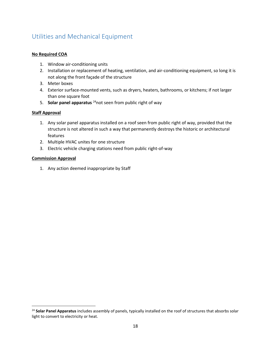# <span id="page-17-0"></span>Utilities and Mechanical Equipment

#### **No Required COA**

- 1. Window air-conditioning units
- 2. Installation or replacement of heating, ventilation, and air-conditioning equipment, so long it is not along the front façade of the structure
- 3. Meter boxes
- 4. Exterior surface-mounted vents, such as dryers, heaters, bathrooms, or kitchens; if not larger than one square foot
- 5. **Solar panel apparatus** <sup>24</sup>not seen from public right of way

#### **Staff Approval**

- 1. Any solar panel apparatus installed on a roof seen from public right of way, provided that the structure is not altered in such a way that permanently destroys the historic or architectural features
- 2. Multiple HVAC unites for one structure
- 3. Electric vehicle charging stations need from public right-of-way

#### **Commission Approval**

 $\overline{\phantom{a}}$ 

1. Any action deemed inappropriate by Staff

<sup>24</sup> **Solar Panel Apparatus** includes assembly of panels, typically installed on the roof of structures that absorbs solar light to convert to electricity or heat.